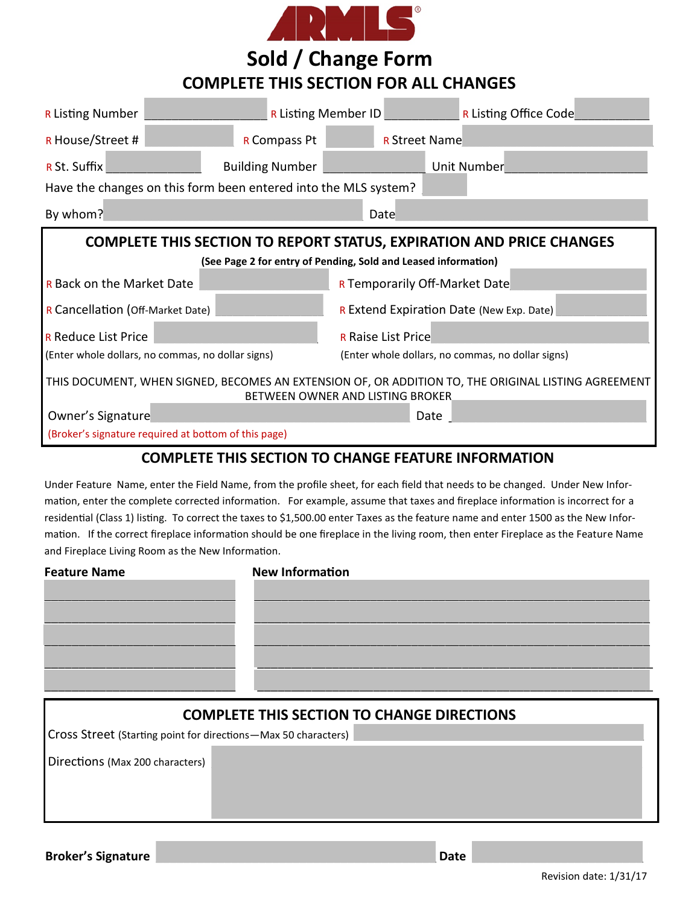

**Sold / Change Form COMPLETE THIS SECTION FOR ALL CHANGES**

| <b>R</b> Listing Number                                                                                                                 |                                                   | <b>R Listing Member ID R Listing Office Code</b> |                      |  |  |  |  |  |  |
|-----------------------------------------------------------------------------------------------------------------------------------------|---------------------------------------------------|--------------------------------------------------|----------------------|--|--|--|--|--|--|
| R House/Street #                                                                                                                        | <b>R Compass Pt</b>                               |                                                  | <b>R</b> Street Name |  |  |  |  |  |  |
| R St. Suffix                                                                                                                            | <b>Building Number</b>                            | Unit Number                                      |                      |  |  |  |  |  |  |
| Have the changes on this form been entered into the MLS system?                                                                         |                                                   |                                                  |                      |  |  |  |  |  |  |
| By whom?                                                                                                                                |                                                   | Date                                             |                      |  |  |  |  |  |  |
| <b>COMPLETE THIS SECTION TO REPORT STATUS, EXPIRATION AND PRICE CHANGES</b>                                                             |                                                   |                                                  |                      |  |  |  |  |  |  |
| (See Page 2 for entry of Pending, Sold and Leased information)                                                                          |                                                   |                                                  |                      |  |  |  |  |  |  |
| <b>R Back on the Market Date</b>                                                                                                        | <b>R Temporarily Off-Market Date</b>              |                                                  |                      |  |  |  |  |  |  |
| R Cancellation (Off-Market Date)                                                                                                        | R Extend Expiration Date (New Exp. Date)          |                                                  |                      |  |  |  |  |  |  |
| <b>R Reduce List Price</b>                                                                                                              | <b>R</b> Raise List Price                         |                                                  |                      |  |  |  |  |  |  |
| (Enter whole dollars, no commas, no dollar signs)                                                                                       | (Enter whole dollars, no commas, no dollar signs) |                                                  |                      |  |  |  |  |  |  |
| THIS DOCUMENT, WHEN SIGNED, BECOMES AN EXTENSION OF, OR ADDITION TO, THE ORIGINAL LISTING AGREEMENT<br>BETWEEN OWNER AND LISTING BROKER |                                                   |                                                  |                      |  |  |  |  |  |  |
| Owner's Signature                                                                                                                       |                                                   |                                                  | Date                 |  |  |  |  |  |  |
| (Broker's signature required at bottom of this page)                                                                                    |                                                   |                                                  |                      |  |  |  |  |  |  |

## **COMPLETE THIS SECTION TO CHANGE FEATURE INFORMATION**

Under Feature Name, enter the Field Name, from the profile sheet, for each field that needs to be changed. Under New Information, enter the complete corrected information. For example, assume that taxes and fireplace information is incorrect for a residential (Class 1) listing. To correct the taxes to \$1,500.00 enter Taxes as the feature name and enter 1500 as the New Information. If the correct fireplace information should be one fireplace in the living room, then enter Fireplace as the Feature Name and Fireplace Living Room as the New Information.

## **Feature Name** New Information

## **COMPLETE THIS SECTION TO CHANGE DIRECTIONS**

Cross Street (Starting point for directions—Max 50 characters)

Directions (Max 200 characters)